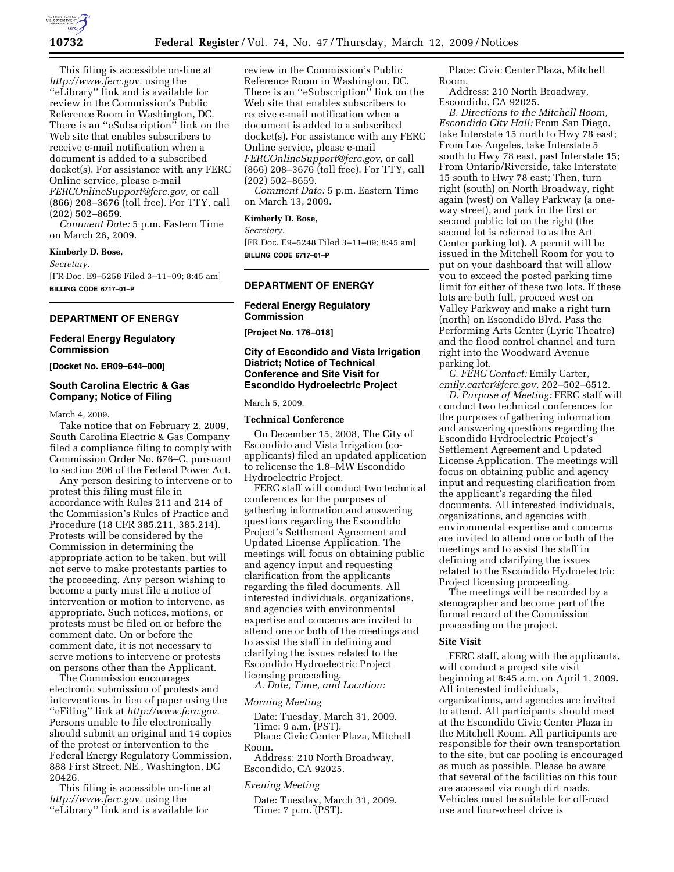

This filing is accessible on-line at *http://www.ferc.gov,* using the ''eLibrary'' link and is available for review in the Commission's Public Reference Room in Washington, DC. There is an ''eSubscription'' link on the Web site that enables subscribers to receive e-mail notification when a document is added to a subscribed docket(s). For assistance with any FERC Online service, please e-mail *FERCOnlineSupport@ferc.gov,* or call (866) 208–3676 (toll free). For TTY, call (202) 502–8659.

*Comment Date:* 5 p.m. Eastern Time on March 26, 2009.

## **Kimberly D. Bose,**

*Secretary.* 

[FR Doc. E9–5258 Filed 3–11–09; 8:45 am] **BILLING CODE 6717–01–P** 

## **DEPARTMENT OF ENERGY**

#### **Federal Energy Regulatory Commission**

**[Docket No. ER09–644–000]** 

#### **South Carolina Electric & Gas Company; Notice of Filing**

March 4, 2009.

Take notice that on February 2, 2009, South Carolina Electric & Gas Company filed a compliance filing to comply with Commission Order No. 676–C, pursuant to section 206 of the Federal Power Act.

Any person desiring to intervene or to protest this filing must file in accordance with Rules 211 and 214 of the Commission's Rules of Practice and Procedure (18 CFR 385.211, 385.214). Protests will be considered by the Commission in determining the appropriate action to be taken, but will not serve to make protestants parties to the proceeding. Any person wishing to become a party must file a notice of intervention or motion to intervene, as appropriate. Such notices, motions, or protests must be filed on or before the comment date. On or before the comment date, it is not necessary to serve motions to intervene or protests on persons other than the Applicant.

The Commission encourages electronic submission of protests and interventions in lieu of paper using the ''eFiling'' link at *http://www.ferc.gov.*  Persons unable to file electronically should submit an original and 14 copies of the protest or intervention to the Federal Energy Regulatory Commission, 888 First Street, NE., Washington, DC 20426.

This filing is accessible on-line at *http://www.ferc.gov,* using the ''eLibrary'' link and is available for

review in the Commission's Public Reference Room in Washington, DC. There is an ''eSubscription'' link on the Web site that enables subscribers to receive e-mail notification when a document is added to a subscribed docket(s). For assistance with any FERC Online service, please e-mail *FERCOnlineSupport@ferc.gov,* or call (866) 208–3676 (toll free). For TTY, call (202) 502–8659.

*Comment Date:* 5 p.m. Eastern Time on March 13, 2009.

## **Kimberly D. Bose,**

*Secretary.* 

[FR Doc. E9–5248 Filed 3–11–09; 8:45 am] **BILLING CODE 6717–01–P** 

## **DEPARTMENT OF ENERGY**

## **Federal Energy Regulatory Commission**

**[Project No. 176–018]** 

## **City of Escondido and Vista Irrigation District; Notice of Technical Conference and Site Visit for Escondido Hydroelectric Project**

March 5, 2009.

#### **Technical Conference**

On December 15, 2008, The City of Escondido and Vista Irrigation (coapplicants) filed an updated application to relicense the 1.8–MW Escondido Hydroelectric Project.

FERC staff will conduct two technical conferences for the purposes of gathering information and answering questions regarding the Escondido Project's Settlement Agreement and Updated License Application. The meetings will focus on obtaining public and agency input and requesting clarification from the applicants regarding the filed documents. All interested individuals, organizations, and agencies with environmental expertise and concerns are invited to attend one or both of the meetings and to assist the staff in defining and clarifying the issues related to the Escondido Hydroelectric Project licensing proceeding.

*A. Date, Time, and Location:* 

#### *Morning Meeting*

Date: Tuesday, March 31, 2009. Time: 9 a.m. (PST). Place: Civic Center Plaza, Mitchell

Room. Address: 210 North Broadway, Escondido, CA 92025.

#### *Evening Meeting*

Date: Tuesday, March 31, 2009. Time: 7 p.m. (PST).

Place: Civic Center Plaza, Mitchell Room.

Address: 210 North Broadway, Escondido, CA 92025.

*B. Directions to the Mitchell Room, Escondido City Hall:* From San Diego, take Interstate 15 north to Hwy 78 east; From Los Angeles, take Interstate 5 south to Hwy 78 east, past Interstate 15; From Ontario/Riverside, take Interstate 15 south to Hwy 78 east; Then, turn right (south) on North Broadway, right again (west) on Valley Parkway (a oneway street), and park in the first or second public lot on the right (the second lot is referred to as the Art Center parking lot). A permit will be issued in the Mitchell Room for you to put on your dashboard that will allow you to exceed the posted parking time limit for either of these two lots. If these lots are both full, proceed west on Valley Parkway and make a right turn (north) on Escondido Blvd. Pass the Performing Arts Center (Lyric Theatre) and the flood control channel and turn right into the Woodward Avenue parking lot.

*C. FERC Contact:* Emily Carter, *emily.carter@ferc.gov,* 202–502–6512.

*D. Purpose of Meeting:* FERC staff will conduct two technical conferences for the purposes of gathering information and answering questions regarding the Escondido Hydroelectric Project's Settlement Agreement and Updated License Application. The meetings will focus on obtaining public and agency input and requesting clarification from the applicant's regarding the filed documents. All interested individuals, organizations, and agencies with environmental expertise and concerns are invited to attend one or both of the meetings and to assist the staff in defining and clarifying the issues related to the Escondido Hydroelectric Project licensing proceeding.

The meetings will be recorded by a stenographer and become part of the formal record of the Commission proceeding on the project.

#### **Site Visit**

FERC staff, along with the applicants, will conduct a project site visit beginning at 8:45 a.m. on April 1, 2009. All interested individuals, organizations, and agencies are invited to attend. All participants should meet at the Escondido Civic Center Plaza in the Mitchell Room. All participants are responsible for their own transportation to the site, but car pooling is encouraged as much as possible. Please be aware that several of the facilities on this tour are accessed via rough dirt roads. Vehicles must be suitable for off-road use and four-wheel drive is